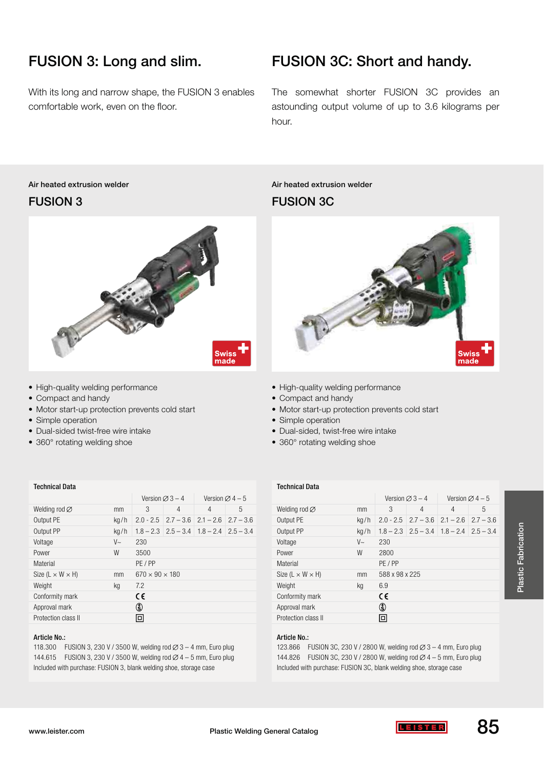# FUSION 3: Long and slim.

With its long and narrow shape, the FUSION 3 enables comfortable work, even on the floor.

## FUSION 3C: Short and handy.

The somewhat shorter FUSION 3C provides an astounding output volume of up to 3.6 kilograms per hour.

### Air heated extrusion welder FUSION 3



- High-quality welding performance
- Compact and handy
- Motor start-up protection prevents cold start
- Simple operation
- Dual-sided twist-free wire intake
- 360° rotating welding shoe

#### Technical Data

|                                |            | Version $\varnothing$ 3 – 4 |                                                       | Version $\varnothing$ 4 – 5 |   |
|--------------------------------|------------|-----------------------------|-------------------------------------------------------|-----------------------------|---|
| Welding rod $\varnothing$      | mm         | 3                           | 4                                                     | $\overline{4}$              | 5 |
| Output PE                      | kq/h       | $2.0 - 2.5$                 | $2.7 - 3.6$                                           | $2.1 - 2.6$ $2.7 - 3.6$     |   |
| Output PP                      | kq/h       |                             | $1.8 - 2.3$   $2.5 - 3.4$   $1.8 - 2.4$   $2.5 - 3.4$ |                             |   |
| Voltage                        | $V_{\sim}$ | 230                         |                                                       |                             |   |
| Power                          | W          | 3500                        |                                                       |                             |   |
| Material                       |            | PE/PP                       |                                                       |                             |   |
| Size (L $\times$ W $\times$ H) | mm         | $670 \times 90 \times 180$  |                                                       |                             |   |
| Weight                         | kq         | 7.2                         |                                                       |                             |   |
| Conformity mark                |            | CE                          |                                                       |                             |   |
| Approval mark                  |            | ₲                           |                                                       |                             |   |
| Protection class II            |            | $\Box$                      |                                                       |                             |   |

#### Article No.:

118.300 FUSION 3, 230 V / 3500 W, welding rod  $\varnothing$  3 – 4 mm, Euro plug 144.615 FUSION 3, 230 V / 3500 W, welding rod  $\varnothing$  4 – 5 mm, Euro plug Included with purchase: FUSION 3, blank welding shoe, storage case

### Air heated extrusion welder FUSION 3C



- High-quality welding performance
- Compact and handy
- Motor start-up protection prevents cold start
- Simple operation
- Dual-sided, twist-free wire intake
- 360° rotating welding shoe

#### Technical Data

|                                |            | Version $\varnothing$ 3 – 4 |                           | Version $\varnothing$ 4 – 5 |             |
|--------------------------------|------------|-----------------------------|---------------------------|-----------------------------|-------------|
| Welding rod $\varnothing$      | mm         | 3                           | 4                         | 4                           | 5           |
| Output PE                      | kq/h       | $2.0 - 2.5$                 | $2.7 - 3.6$               | $2.1 - 2.6$                 | $2.7 - 3.6$ |
| Output PP                      | kq/h       |                             | $1.8 - 2.3$   $2.5 - 3.4$ | $1.8 - 2.4$ $2.5 - 3.4$     |             |
| Voltage                        | $V_{\sim}$ | 230                         |                           |                             |             |
| Power                          | W          | 2800                        |                           |                             |             |
| Material                       |            | PE/PP                       |                           |                             |             |
| Size (L $\times$ W $\times$ H) | mm         | 588 x 98 x 225              |                           |                             |             |
| Weight                         | kg         | 6.9                         |                           |                             |             |
| Conformity mark                |            | CE                          |                           |                             |             |
| Approval mark                  |            | (ई)                         |                           |                             |             |
| Protection class II            |            | ⊡                           |                           |                             |             |

#### Article No.:

123.866 FUSION 3C, 230 V / 2800 W, welding rod  $\varnothing$  3 – 4 mm, Euro plug 144.826 FUSION 3C, 230 V / 2800 W, welding rod  $\varnothing$  4 – 5 mm, Euro plug Included with purchase: FUSION 3C, blank welding shoe, storage case